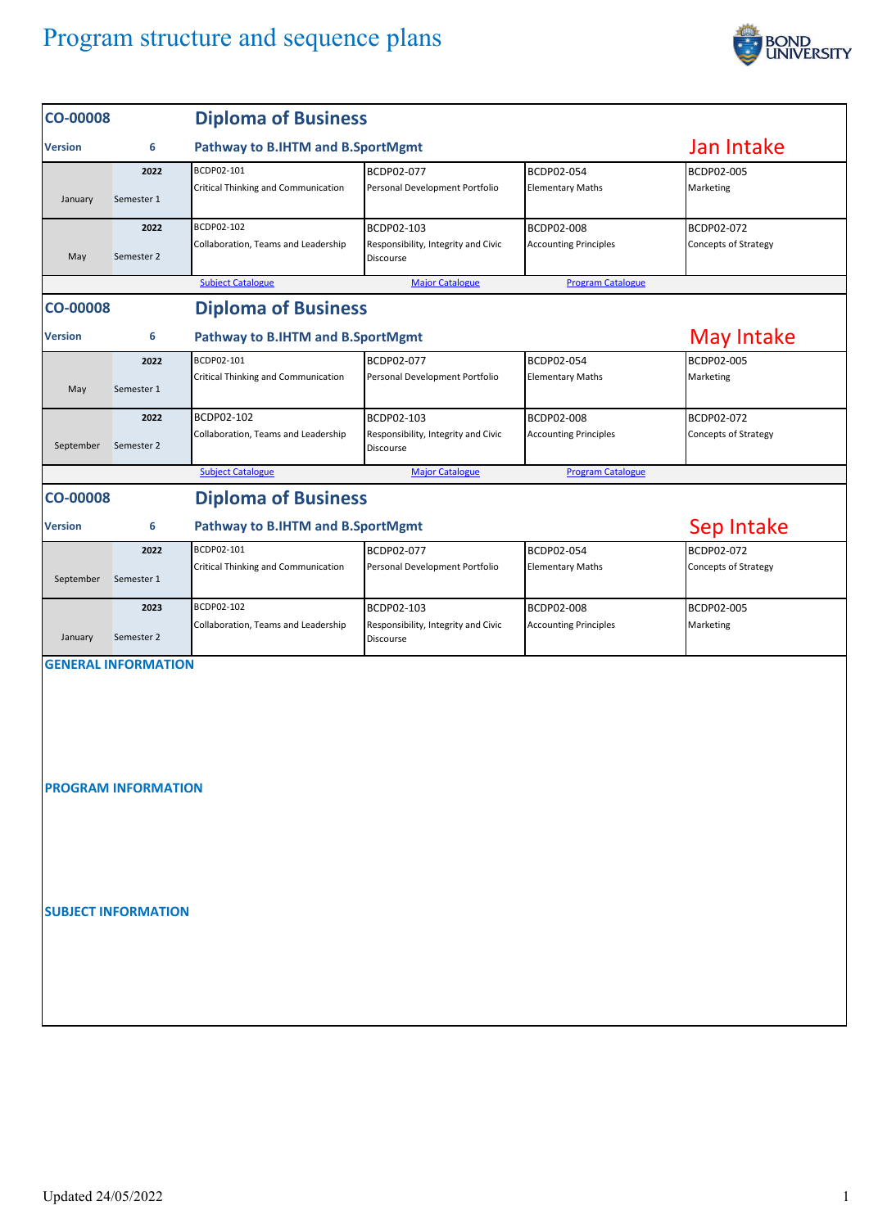

| <b>CO-00008</b>            |                            | <b>Diploma of Business</b>                        |                                                                |                                                   |                                           |  |  |  |  |  |
|----------------------------|----------------------------|---------------------------------------------------|----------------------------------------------------------------|---------------------------------------------------|-------------------------------------------|--|--|--|--|--|
| <b>Version</b>             | 6                          | Pathway to B.IHTM and B.SportMgmt                 | Jan Intake                                                     |                                                   |                                           |  |  |  |  |  |
| January                    | 2022<br>Semester 1         | BCDP02-101<br>Critical Thinking and Communication | BCDP02-077<br>Personal Development Portfolio                   | BCDP02-054<br><b>Elementary Maths</b>             | BCDP02-005<br>Marketing                   |  |  |  |  |  |
| May                        | 2022<br>Semester 2         | BCDP02-102<br>Collaboration, Teams and Leadership | BCDP02-103<br>Responsibility, Integrity and Civic<br>Discourse | <b>BCDP02-008</b><br><b>Accounting Principles</b> | BCDP02-072<br>Concepts of Strategy        |  |  |  |  |  |
|                            |                            | <b>Subject Catalogue</b>                          |                                                                |                                                   |                                           |  |  |  |  |  |
| <b>CO-00008</b>            |                            | <b>Diploma of Business</b>                        |                                                                |                                                   |                                           |  |  |  |  |  |
| <b>Version</b>             | 6                          | Pathway to B.IHTM and B.SportMgmt                 | <b>May Intake</b>                                              |                                                   |                                           |  |  |  |  |  |
| May                        | 2022<br>Semester 1         | BCDP02-101<br>Critical Thinking and Communication | BCDP02-077<br>Personal Development Portfolio                   | BCDP02-054<br><b>Elementary Maths</b>             | BCDP02-005<br>Marketing                   |  |  |  |  |  |
| September                  | 2022<br>Semester 2         | BCDP02-102<br>Collaboration, Teams and Leadership | BCDP02-103<br>Responsibility, Integrity and Civic<br>Discourse | BCDP02-008<br><b>Accounting Principles</b>        | BCDP02-072<br><b>Concepts of Strategy</b> |  |  |  |  |  |
|                            |                            | <b>Subject Catalogue</b>                          | <b>Major Catalogue</b>                                         | <b>Program Catalogue</b>                          |                                           |  |  |  |  |  |
| <b>CO-00008</b>            |                            | <b>Diploma of Business</b>                        |                                                                |                                                   |                                           |  |  |  |  |  |
| <b>Version</b>             | 6                          | Pathway to B.IHTM and B.SportMgmt                 | Sep Intake                                                     |                                                   |                                           |  |  |  |  |  |
|                            | 2022                       | BCDP02-101                                        | BCDP02-077                                                     | BCDP02-054                                        | BCDP02-072                                |  |  |  |  |  |
| September                  | Semester 1                 | Critical Thinking and Communication               | Personal Development Portfolio                                 | <b>Elementary Maths</b>                           | Concepts of Strategy                      |  |  |  |  |  |
| January                    | 2023<br>Semester 2         | BCDP02-102<br>Collaboration, Teams and Leadership | BCDP02-103<br>Responsibility, Integrity and Civic<br>Discourse | BCDP02-008<br><b>Accounting Principles</b>        | BCDP02-005<br>Marketing                   |  |  |  |  |  |
|                            | <b>GENERAL INFORMATION</b> |                                                   |                                                                |                                                   |                                           |  |  |  |  |  |
|                            |                            |                                                   |                                                                |                                                   |                                           |  |  |  |  |  |
| <b>PROGRAM INFORMATION</b> |                            |                                                   |                                                                |                                                   |                                           |  |  |  |  |  |
|                            |                            |                                                   |                                                                |                                                   |                                           |  |  |  |  |  |
| <b>SUBJECT INFORMATION</b> |                            |                                                   |                                                                |                                                   |                                           |  |  |  |  |  |
|                            |                            |                                                   |                                                                |                                                   |                                           |  |  |  |  |  |
|                            |                            |                                                   |                                                                |                                                   |                                           |  |  |  |  |  |
|                            |                            |                                                   |                                                                |                                                   |                                           |  |  |  |  |  |